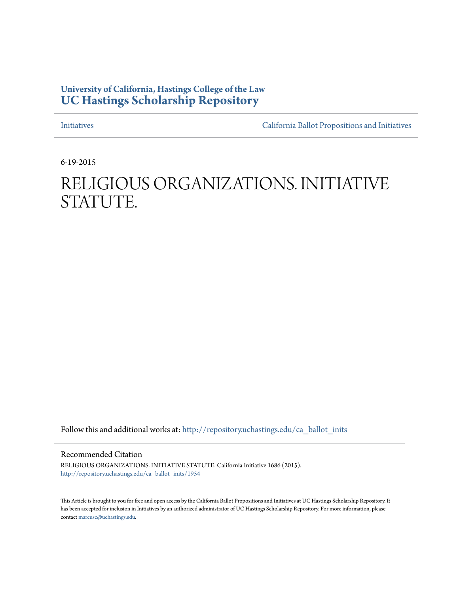## **University of California, Hastings College of the Law [UC Hastings Scholarship Repository](http://repository.uchastings.edu?utm_source=repository.uchastings.edu%2Fca_ballot_inits%2F1954&utm_medium=PDF&utm_campaign=PDFCoverPages)**

[Initiatives](http://repository.uchastings.edu/ca_ballot_inits?utm_source=repository.uchastings.edu%2Fca_ballot_inits%2F1954&utm_medium=PDF&utm_campaign=PDFCoverPages) [California Ballot Propositions and Initiatives](http://repository.uchastings.edu/ca_ballots?utm_source=repository.uchastings.edu%2Fca_ballot_inits%2F1954&utm_medium=PDF&utm_campaign=PDFCoverPages)

6-19-2015

# RELIGIOUS ORGANIZATIONS. INITIATIVE STATUTE.

Follow this and additional works at: [http://repository.uchastings.edu/ca\\_ballot\\_inits](http://repository.uchastings.edu/ca_ballot_inits?utm_source=repository.uchastings.edu%2Fca_ballot_inits%2F1954&utm_medium=PDF&utm_campaign=PDFCoverPages)

Recommended Citation

RELIGIOUS ORGANIZATIONS. INITIATIVE STATUTE. California Initiative 1686 (2015). [http://repository.uchastings.edu/ca\\_ballot\\_inits/1954](http://repository.uchastings.edu/ca_ballot_inits/1954?utm_source=repository.uchastings.edu%2Fca_ballot_inits%2F1954&utm_medium=PDF&utm_campaign=PDFCoverPages)

This Article is brought to you for free and open access by the California Ballot Propositions and Initiatives at UC Hastings Scholarship Repository. It has been accepted for inclusion in Initiatives by an authorized administrator of UC Hastings Scholarship Repository. For more information, please contact [marcusc@uchastings.edu](mailto:marcusc@uchastings.edu).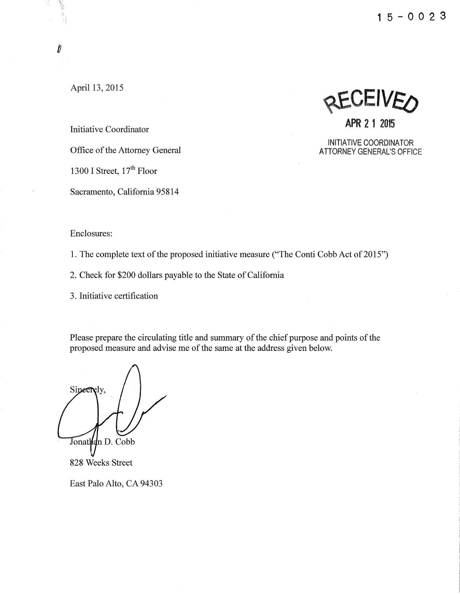**1** 5 - **0 0 2 3** 

April 13, 2015

 $\mathbf{\hat{U}}$ 

Initiative Coordinator

Office of the Attorney General

1300 I Street,  $17<sup>th</sup>$  Floor

Sacramento, California 95814

#### Enclosures:

1. The complete text of the proposed initiative measure ("The Conti Cobb Act of 2015")

2. Check for \$200 dollars payable to the State of California

3. Initiative certification

Please prepare the circulating title and summary of the chief purpose and points of the proposed measure and advise me of the same at the address given below.

Sipeerely, Jonathan D. Cobb

828 Weeks Street

East Palo Alto, CA 94303

**AEAEIAEO APR 2 1 2015** 

INITIATIVE COORDINATOR ATTORNEY GENERAL'S OFFICE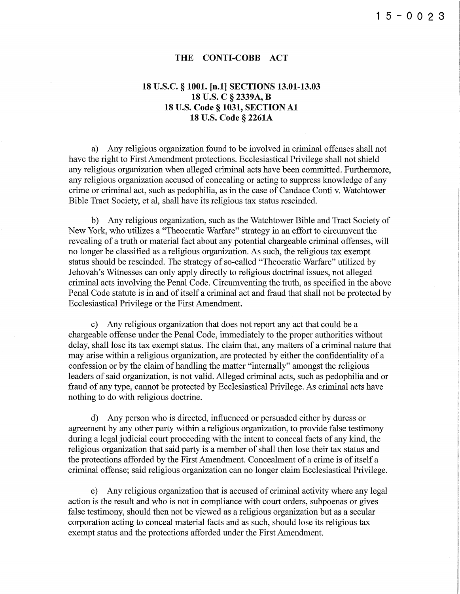#### **THE CONTI-COBB ACT**

### **18 U.S.C. § 1001. [n.1] SECTIONS 13.01-13.03 18 U.S. C § 2339A, B 18 U.S. Code § 1031, SECTION A1 18** U.S. **Code § 2261A**

a) Any religious organization found to be involved in criminal offenses shall not have the right to First Amendment protections. Ecclesiastical Privilege shall not shield any religious organization when alleged criminal acts have been committed. Furthermore, any religious organization accused of concealing or acting to suppress knowledge of any crime or criminal act, such as pedophilia, as in the case of Candace Conti v. Watchtower Bible Tract Society, et al, shall have its religious tax status rescinded.

b) Any religious organization, such as the Watchtower Bible and Tract Society of New York, who utilizes a "Theocratic Warfare" strategy in an effort to circumvent the revealing of a truth or material fact about any potential chargeable criminal offenses, will no longer be classified as a religious organization. As such, the religious tax exempt status should be rescinded. The strategy of so-called "Theocratic Warfare" utilized by Jehovah's Witnesses can only apply directly to religious doctrinal issues, not alleged criminal acts involving the Penal Code. Circumventing the truth, as specified in the above Penal Code statute is in and of itself a criminal act and fraud that shall not be protected by Ecclesiastical Privilege or the First Amendment.

c) Any religious organization that does not report any act that could be a chargeable offense under the Penal Code, immediately to the proper authorities without delay, shall lose its tax exempt status. The claim that, any matters of a criminal nature that may arise within a religious organization, are protected by either the confidentiality of a confession or by the claim of handling the matter "internally" amongst the religious leaders of said organization, is not valid. Alleged criminal acts, such as pedophilia and or fraud of any type, cannot be protected by Ecclesiastical Privilege. As criminal acts have nothing to do with religious doctrine.

d) Any person who is directed, influenced or persuaded either by duress or agreement by any other party within a religious organization, to provide false testimony during a legal judicial court proceeding with the intent to conceal facts of any kind, the religious organization that said party is a member of shall then lose their tax status and the protections afforded by the First Amendment. Concealment of a crime is of itself a criminal offense; said religious organization can no longer claim Ecclesiastical Privilege.

e) Any religious organization that is accused of criminal activity where any legal action is the result and who is not in compliance with court orders, subpoenas or gives false testimony, should then not be viewed as a religious organization but as a secular corporation acting to conceal material facts and as such, should lose its religious tax exempt status and the protections afforded under the First Amendment.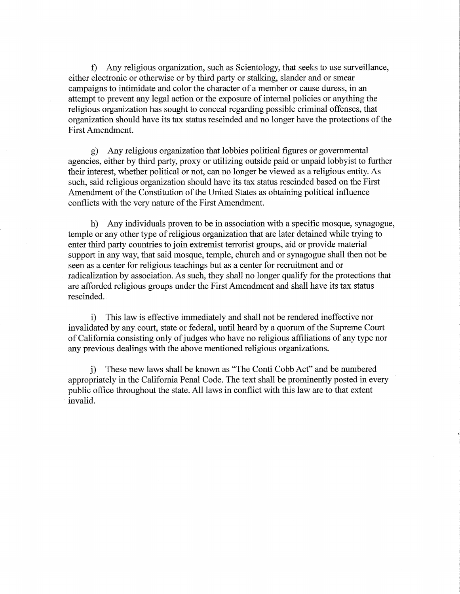f) Any religious organization, such as Scientology, that seeks to use surveillance, either electronic or otherwise or by third party or stalking, slander and or smear campaigns to intimidate and color the character of a member or cause duress, in an attempt to prevent any legal action or the exposure of internal policies or anything the religious organization has sought to conceal regarding possible criminal offenses, that organization should have its tax status rescinded and no longer have the protections of the First Amendment.

g) Any religious organization that lobbies political figures or governmental agencies, either by third party, proxy or utilizing outside paid or unpaid lobbyist to further their interest, whether political or not, can no longer be viewed as a religious entity. As such, said religious organization should have its tax status rescinded based on the First Amendment of the Constitution of the United States as obtaining political influence conflicts with the very nature of the First Amendment.

h) Any individuals proven to be in association with a specific mosque, synagogue, temple or any other type of religious organization that are later detained while trying to enter third party countries to join extremist terrorist groups, aid or provide material support in any way, that said mosque, temple, church and or synagogue shall then not be seen as a center for religious teachings but as a center for recruitment and or radicalization by association. As such, they shall no longer qualify for the protections that are afforded religious groups under the First Amendment and shall have its tax status rescinded.

i) This law is effective immediately and shall not be rendered ineffective nor invalidated by any court, state or federal, until heard by a quorum of the Supreme Court of California consisting only of judges who have no religious affiliations of any type nor any previous dealings with the above mentioned religious organizations.

j) These new laws shall be known as "The Conti Cobb Act" and be numbered appropriately in the California Penal Code. The text shall be prominently posted in every public office throughout the state. All laws in conflict with this law are to that extent ·invalid.